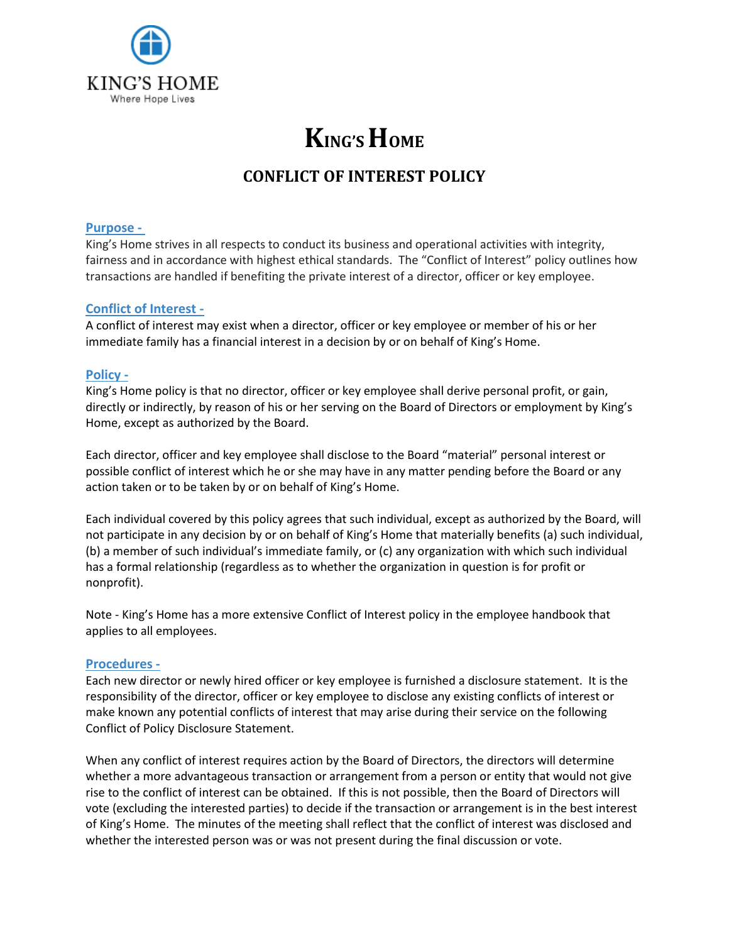

## **KING'S HOME**

### **CONFLICT OF INTEREST POLICY**

#### **Purpose -**

King's Home strives in all respects to conduct its business and operational activities with integrity, fairness and in accordance with highest ethical standards. The "Conflict of Interest" policy outlines how transactions are handled if benefiting the private interest of a director, officer or key employee.

#### **Conflict of Interest -**

A conflict of interest may exist when a director, officer or key employee or member of his or her immediate family has a financial interest in a decision by or on behalf of King's Home.

#### **Policy -**

King's Home policy is that no director, officer or key employee shall derive personal profit, or gain, directly or indirectly, by reason of his or her serving on the Board of Directors or employment by King's Home, except as authorized by the Board.

Each director, officer and key employee shall disclose to the Board "material" personal interest or possible conflict of interest which he or she may have in any matter pending before the Board or any action taken or to be taken by or on behalf of King's Home.

Each individual covered by this policy agrees that such individual, except as authorized by the Board, will not participate in any decision by or on behalf of King's Home that materially benefits (a) such individual, (b) a member of such individual's immediate family, or (c) any organization with which such individual has a formal relationship (regardless as to whether the organization in question is for profit or nonprofit).

Note - King's Home has a more extensive Conflict of Interest policy in the employee handbook that applies to all employees.

#### **Procedures -**

Each new director or newly hired officer or key employee is furnished a disclosure statement. It is the responsibility of the director, officer or key employee to disclose any existing conflicts of interest or make known any potential conflicts of interest that may arise during their service on the following Conflict of Policy Disclosure Statement.

When any conflict of interest requires action by the Board of Directors, the directors will determine whether a more advantageous transaction or arrangement from a person or entity that would not give rise to the conflict of interest can be obtained. If this is not possible, then the Board of Directors will vote (excluding the interested parties) to decide if the transaction or arrangement is in the best interest of King's Home. The minutes of the meeting shall reflect that the conflict of interest was disclosed and whether the interested person was or was not present during the final discussion or vote.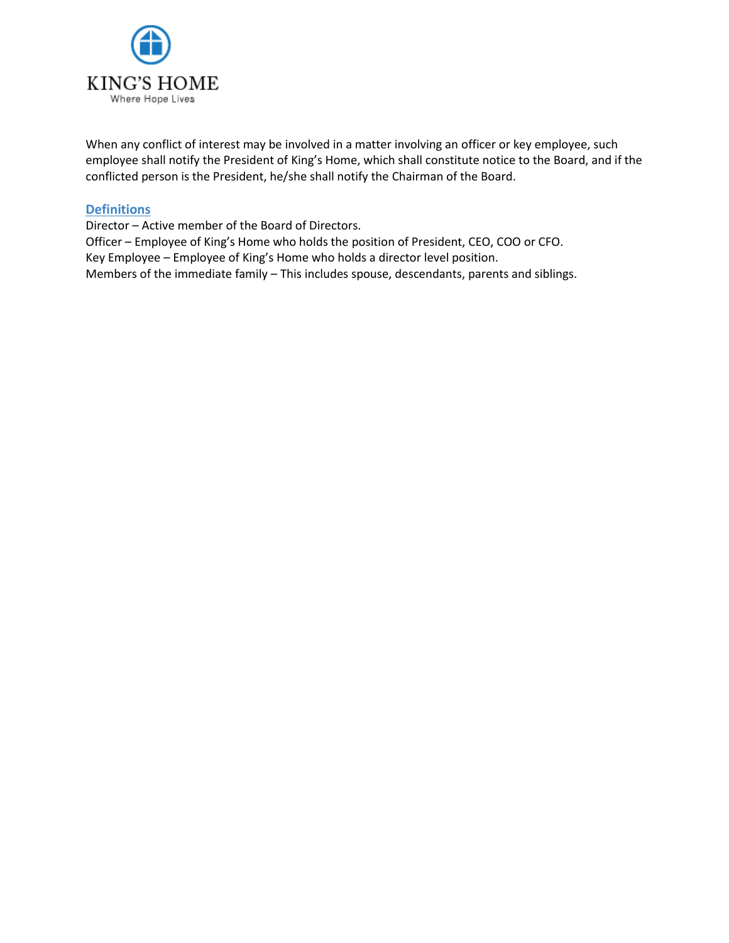

When any conflict of interest may be involved in a matter involving an officer or key employee, such employee shall notify the President of King's Home, which shall constitute notice to the Board, and if the conflicted person is the President, he/she shall notify the Chairman of the Board.

#### **Definitions**

Director – Active member of the Board of Directors.

Officer – Employee of King's Home who holds the position of President, CEO, COO or CFO. Key Employee – Employee of King's Home who holds a director level position. Members of the immediate family – This includes spouse, descendants, parents and siblings.